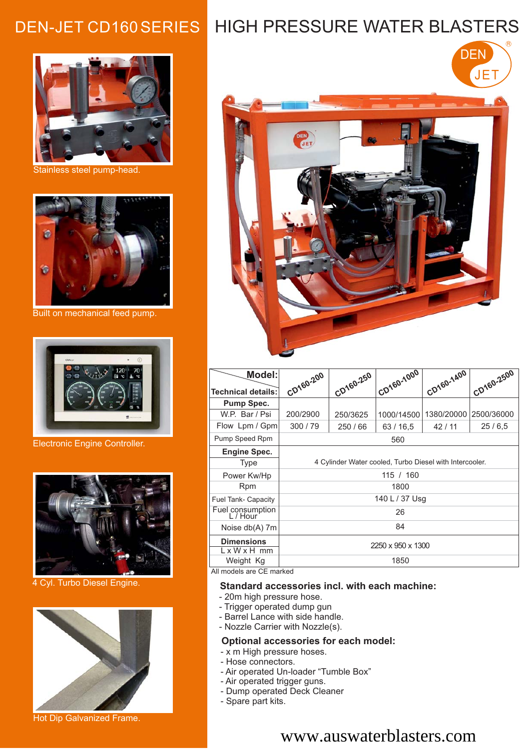

Stainless steel pump-head.



Built on mechanical feed pump.



Electronic Engine Controller.



4 Cyl. Turbo Diesel Engine.



Hot Dip Galvanized Frame.

# DEN-JET CD160 SERIES HIGH PRESSURE WATER BLASTERS

R



| <b>Model:</b>                                                                                           | CD160-200                                               | CD160-250 | CD160-1000 | CD160-1400 | CD160-2500 |
|---------------------------------------------------------------------------------------------------------|---------------------------------------------------------|-----------|------------|------------|------------|
| <b>Technical details:</b>                                                                               |                                                         |           |            |            |            |
| <b>Pump Spec.</b>                                                                                       |                                                         |           |            |            |            |
| W.P. Bar / Psi                                                                                          | 200/2900                                                | 250/3625  | 1000/14500 | 1380/20000 | 2500/36000 |
| Flow Lpm / Gpm                                                                                          | 300/79                                                  | 250/66    | 63/16.5    | 42/11      | 25/6,5     |
| Pump Speed Rpm                                                                                          | 560                                                     |           |            |            |            |
| <b>Engine Spec.</b>                                                                                     |                                                         |           |            |            |            |
| Type                                                                                                    | 4 Cylinder Water cooled, Turbo Diesel with Intercooler. |           |            |            |            |
| Power Kw/Hp                                                                                             | 115 / 160                                               |           |            |            |            |
| <b>Rpm</b>                                                                                              | 1800                                                    |           |            |            |            |
| <b>Fuel Tank- Capacity</b>                                                                              | 140 L / 37 Usq                                          |           |            |            |            |
| Fuel consumption<br>L / Hour                                                                            | 26                                                      |           |            |            |            |
| Noise db(A) 7m                                                                                          | 84                                                      |           |            |            |            |
| <b>Dimensions</b><br>$L \times W \times H$ mm                                                           | 2250 x 950 x 1300                                       |           |            |            |            |
| Weight Kg<br>$\mathbf{A}$ and $\mathbf{B}$ and $\mathbf{A}$ and $\mathbf{A}$ and $\mathbf{A}$<br>$\sim$ | 1850                                                    |           |            |            |            |

All models are CE marked

#### **Standard accessories incl. with each machine:**

- 20m high pressure hose.
- Trigger operated dump gun
- Barrel Lance with side handle.
- Nozzle Carrier with Nozzle(s).

#### **Optional accessories for each model:**

- x m High pressure hoses.
- Hose connectors.
- Air operated Un-loader "Tumble Box"
- Air operated trigger guns.
- Dump operated Deck Cleaner
- Spare part kits.

# www.auswaterblasters.com